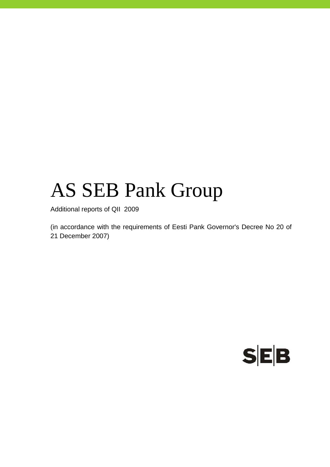# AS SEB Pank Group

Additional reports of QII 2009

(in accordance with the requirements of Eesti Pank Governor's Decree No 20 of 21 December 2007)

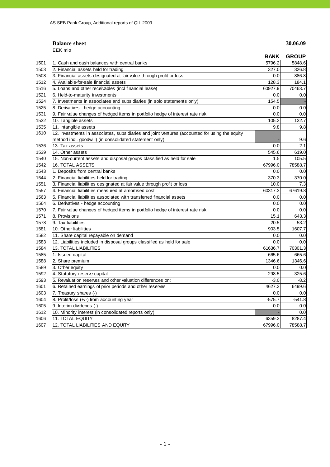### **Balance sheet** 30.06.09

EEK mio

|      |                                                                                                | <b>BANK</b> | <b>GROUP</b> |
|------|------------------------------------------------------------------------------------------------|-------------|--------------|
| 1501 | 1. Cash and cash balances with central banks                                                   | 5796.2      | 5848.6       |
| 1503 | 2. Financial assets held for trading                                                           | 327.0       | 326.8        |
| 1508 | 3. Financial assets designated at fair value through profit or loss                            | 0.0         | 886.8        |
| 1512 | 4. Available-for-sale financial assets                                                         | 128.3       | 184.1        |
| 1516 | 5. Loans and other receivables (incl financial lease)                                          | 60927.9     | 70463.7      |
| 1521 | 6. Held-to-maturity investments                                                                | 0.0         | 0.0          |
| 1524 | 7. Investments in associates and subsidiaries (in solo statements only)                        | 154.5       |              |
| 1525 | 8. Derivatives - hedge accounting                                                              | 0.0         | 0.0          |
| 1531 | 9. Fair value changes of hedged items in portfolio hedge of interest rate risk                 | 0.0         | 0.0          |
| 1532 | 10. Tangible assets                                                                            | 105.2       | 132.7        |
| 1535 | 11. Intangible assets                                                                          | 9.8         | 9.8          |
| 1610 | 12. Investments in associates, subsidiaries and joint ventures (accounted for using the equity |             |              |
|      | method incl. goodwill) (in consolidated statement only)                                        |             | 9.6          |
| 1536 | 13. Tax assets                                                                                 | 0.0         | 2.1          |
| 1539 | 14. Other assets                                                                               | 545.6       | 619.0        |
| 1540 | 15. Non-current assets and disposal groups classified as held for sale                         | 1.5         | 105.5        |
| 1542 | <b>16. TOTAL ASSETS</b>                                                                        | 67996.0     | 78588.7      |
| 1543 | 1. Deposits from central banks                                                                 | 0.0         | 0.0          |
| 1544 | 2. Financial liabilities held for trading                                                      | 370.3       | 370.0        |
| 1551 | 3. Financial liabilities designated at fair value through profit or loss                       | 10.0        | 7.3          |
| 1557 | 4. Financial liabilities measured at amortised cost                                            | 60317.3     | 67619.8      |
| 1563 | 5. Financial liabilities associated with transferred financial assets                          | 0.0         | 0.0          |
| 1564 | 6. Derivatives - hedge accounting                                                              | 0.0         | 0.0          |
| 1570 | 7. Fair value changes of hedged items in portfolio hedge of interest rate risk                 | 0.0         | 0.0          |
| 1571 | 8. Provisions                                                                                  | 15.1        | 643.3        |
| 1578 | 9. Tax liabilities                                                                             | 20.5        | 53.2         |
| 1581 | 10. Other liabilities                                                                          | 903.5       | 1607.7       |
| 1582 | 11. Share capital repayable on demand                                                          | 0.0         | 0.0          |
| 1583 | 12. Liabilities included in disposal groups classified as held for sale                        | 0.0         | 0.0          |
| 1584 | <b>13. TOTAL LIABILITIES</b>                                                                   | 61636.7     | 70301.3      |
| 1585 | 1. Issued capital                                                                              | 665.6       | 665.6        |
| 1588 | 2. Share premium                                                                               | 1346.6      | 1346.6       |
| 1589 | 3. Other equity                                                                                | 0.0         | 0.0          |
| 1592 | 4. Statutory reserve capital                                                                   | 298.5       | 325.6        |
| 1593 | 5. Revaluation reserves and other valuation differences on:                                    | $-3.0$      | $-8.2$       |
| 1601 | 6. Retained earnings of prior periods and other reserves                                       | 4627.3      | 6499.6       |
| 1603 | 7. Treasury shares (-)                                                                         | 0.0         | 0.0          |
| 1604 | 8. Profit/loss (+/-) from accounting year                                                      | $-575.7$    | $-541.8$     |
| 1605 | 9. Interim dividends (-)                                                                       | 0.0         | 0.0          |
| 1612 | 10. Minority interest (in consolidated reports only)                                           |             | 0.0          |
| 1606 | 11. TOTAL EQUITY                                                                               | 6359.3      | 8287.4       |
| 1607 | 12. TOTAL LIABILITIES AND EQUITY                                                               | 67996.0     | 78588.7      |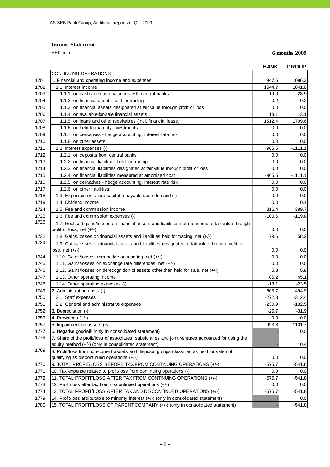**Income Statement**

EEK mio **6 months 2009**

| CONTINUING OPERATIONS<br>1701<br>1. Financial and operating income and expenses<br>1702<br>1.1. Interest income<br>1703<br>1.1.1, on cash and cash balances with central banks<br>1704<br>1.1.2. on financial assets held for trading<br>1705<br>1.1.3. on financial assets designated at fair value through profit or loss<br>1706<br>1.1.4. on available-for-sale financial assets | 947.5<br>1544.7<br>19.0<br>0.2<br>0.0<br>13.1<br>1512.4<br>0.0<br>0.0<br>0.0<br>$-965.5$ | 1086.3<br>1841.8<br>28.9<br>0.2<br>0.0<br>13.1<br>1799.6<br>0.0<br>0.0<br>0.0 |
|--------------------------------------------------------------------------------------------------------------------------------------------------------------------------------------------------------------------------------------------------------------------------------------------------------------------------------------------------------------------------------------|------------------------------------------------------------------------------------------|-------------------------------------------------------------------------------|
|                                                                                                                                                                                                                                                                                                                                                                                      |                                                                                          |                                                                               |
|                                                                                                                                                                                                                                                                                                                                                                                      |                                                                                          |                                                                               |
|                                                                                                                                                                                                                                                                                                                                                                                      |                                                                                          |                                                                               |
|                                                                                                                                                                                                                                                                                                                                                                                      |                                                                                          |                                                                               |
|                                                                                                                                                                                                                                                                                                                                                                                      |                                                                                          |                                                                               |
|                                                                                                                                                                                                                                                                                                                                                                                      |                                                                                          |                                                                               |
|                                                                                                                                                                                                                                                                                                                                                                                      |                                                                                          |                                                                               |
| 1707<br>1.1.5. on loans and other receivables (incl. financial lease)                                                                                                                                                                                                                                                                                                                |                                                                                          |                                                                               |
| 1708<br>1.1.6. on held-to-maturity investments                                                                                                                                                                                                                                                                                                                                       |                                                                                          |                                                                               |
| 1709<br>1.1.7. on derivatives - hedge accounting, interest rate risk                                                                                                                                                                                                                                                                                                                 |                                                                                          |                                                                               |
| 1710<br>1.1.8. on other assets                                                                                                                                                                                                                                                                                                                                                       |                                                                                          |                                                                               |
| 1711<br>1.2. Interest expenses (-)                                                                                                                                                                                                                                                                                                                                                   |                                                                                          | $-1111.1$                                                                     |
| 1712<br>1.2.1. on deposits from central banks                                                                                                                                                                                                                                                                                                                                        | 0.0                                                                                      | 0.0                                                                           |
| 1713<br>1.2.2. on financial liabilities held for trading                                                                                                                                                                                                                                                                                                                             | 0.0                                                                                      | 0.0                                                                           |
| 1714<br>1.2.3. on financial liabilities designated at fair value through profit or loss                                                                                                                                                                                                                                                                                              | 0.0                                                                                      | 0.0                                                                           |
| 1715<br>1.2.4, on financial liabilities measured at amortised cost                                                                                                                                                                                                                                                                                                                   | $-965.5$                                                                                 | $-1111.1$                                                                     |
| 1716<br>1.2.5. on derivatives - hedge accounting, interest rate risk                                                                                                                                                                                                                                                                                                                 | 0.0                                                                                      | 0.0                                                                           |
| 1717<br>1.2.6. on other liabilities                                                                                                                                                                                                                                                                                                                                                  | 0.0                                                                                      | 0.0                                                                           |
| 1718<br>1.3. Expenses on share capital repayable upon demand (-)                                                                                                                                                                                                                                                                                                                     | 0.0                                                                                      | 0.0                                                                           |
| 1719<br>1.4. Dividend income                                                                                                                                                                                                                                                                                                                                                         | 0.0                                                                                      | 0.1                                                                           |
| 1724<br>1.5. Fee and commission income                                                                                                                                                                                                                                                                                                                                               | 316.4                                                                                    | 389.7                                                                         |
| 1725<br>1.6. Fee and commission expenses (-)                                                                                                                                                                                                                                                                                                                                         | $-100.6$                                                                                 | $-119.8$                                                                      |
| 1726<br>1.7. Realised gains/losses on financial assets and liabilities not measured at fair value through                                                                                                                                                                                                                                                                            |                                                                                          |                                                                               |
| profit or loss, net (+/-)                                                                                                                                                                                                                                                                                                                                                            | 0.0                                                                                      | 0.0                                                                           |
| 1732<br>1.8. Gains/losses on financial assets and liabilities held for trading, net (+/-)<br>1739                                                                                                                                                                                                                                                                                    | 79.6                                                                                     | 58.2                                                                          |
| 1.9. Gains/losses on financial assets and liabilities designated at fair value through profit or<br>loss, net (+/-)                                                                                                                                                                                                                                                                  | 0.0                                                                                      | 0.0                                                                           |
| 1.10. Gains/losses from hedge accounting, net (+/-)<br>1744                                                                                                                                                                                                                                                                                                                          | 0.0                                                                                      | 0.0                                                                           |
| 1.11. Gains/losses on exchange rate differences, net (+/-)<br>1745                                                                                                                                                                                                                                                                                                                   | 0.0                                                                                      | 0.0                                                                           |
| 1.12. Gains/losses on derecognition of assets other than held for sale, net (+/-)<br>1746                                                                                                                                                                                                                                                                                            | 5.8                                                                                      | 5.8                                                                           |
| 1747<br>1.13. Other operating income                                                                                                                                                                                                                                                                                                                                                 | 85.2                                                                                     | 45.1                                                                          |
| 1.14. Other operating expenses (-)<br>1748                                                                                                                                                                                                                                                                                                                                           | $-18.1$                                                                                  | -23.5                                                                         |
| 1749<br>2. Administration costs (-)                                                                                                                                                                                                                                                                                                                                                  | $-503.7$                                                                                 | $-494.9$                                                                      |
| 1750<br>2.1. Staff expenses                                                                                                                                                                                                                                                                                                                                                          | $-272.8$                                                                                 | $-312.4$                                                                      |
| 1751<br>2.2. General and administrative expenses                                                                                                                                                                                                                                                                                                                                     | $-230.9$                                                                                 | $-182.5$                                                                      |
| 1752<br>3. Depreciation (-)                                                                                                                                                                                                                                                                                                                                                          | $-25.7$                                                                                  | $-31.9$                                                                       |
| 1756<br>4. Provisions (+/-)                                                                                                                                                                                                                                                                                                                                                          | 0.0                                                                                      | 0.0                                                                           |
| 1757<br>5. Impairment on assets (+/-)                                                                                                                                                                                                                                                                                                                                                | $-993.8$                                                                                 | $-1101.7$                                                                     |
| 1777<br>6. Negative goodwill (only in consolidated statement)                                                                                                                                                                                                                                                                                                                        |                                                                                          | 0.0                                                                           |
| 1778<br>7. Share of the profit/loss of associates, subsidiaries and joint ventures accounted for using the<br>equity method (+/-) (only in consolidated statement)                                                                                                                                                                                                                   |                                                                                          | 0.4                                                                           |
| 1769<br>8. Profit/loss from non-current assets and disposal groups classified as held for sale not                                                                                                                                                                                                                                                                                   |                                                                                          |                                                                               |
| qualifying as discontinued operations $(+/-)$                                                                                                                                                                                                                                                                                                                                        | 0.0                                                                                      | 0.0                                                                           |
| 1770<br>9. TOTAL PROFIT/LOSS BEFORE TAX FROM CONTINUING OPERATIONS (+/-)                                                                                                                                                                                                                                                                                                             | $-575.7$                                                                                 | $-541.8$                                                                      |
| 1771<br>10. Tax expense related to profit/loss from continuing operations (-)                                                                                                                                                                                                                                                                                                        | 0.0                                                                                      | 0.0                                                                           |
| 1772<br>11. TOTAL PROFIT/LOSS AFTER TAX FROM CONTINUING OPERATIONS (+/-)                                                                                                                                                                                                                                                                                                             | $-575.7$                                                                                 | $-541.8$                                                                      |
| 1773<br>12. Profit/loss after tax from discontinued operations (+/-)                                                                                                                                                                                                                                                                                                                 | 0.0                                                                                      | 0.0                                                                           |
| 13. TOTAL PROFIT/LOSS AFTER TAX AND DISCONTINUED OPERATIONS (+/-)<br>1774                                                                                                                                                                                                                                                                                                            | $-575.7$                                                                                 | $-541.8$                                                                      |
| 1779<br>14. Profit/loss attributable to minority interest (+/-) (only in consolidated statement)                                                                                                                                                                                                                                                                                     |                                                                                          | 0.0                                                                           |
| 15. TOTAL PROFIT/LOSS OF PARENT COMPANY (+/-) (only in consolidated statement)<br>1780                                                                                                                                                                                                                                                                                               |                                                                                          | $-541.8$                                                                      |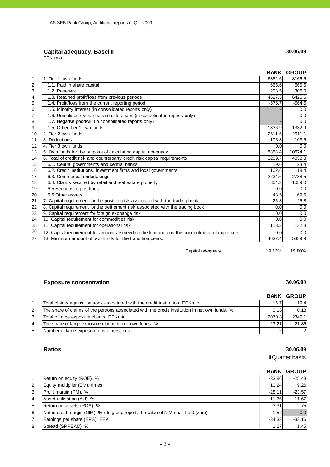### **Capital adequacy, Basel II 30.06.09**

EEK mio

|    |                                                                                                |          | <b>BANK GROUP</b> |
|----|------------------------------------------------------------------------------------------------|----------|-------------------|
| 1  | 1. Tier 1 own funds                                                                            | 6352.6   | 8166.5            |
| 2  | 1.1. Paid in share capital                                                                     | 665.6    | 665.6             |
| 3  | 1.2. Reserves                                                                                  | 298.5    | 306.0             |
| 4  | 1.3. Retained profit/loss from previous periods                                                | 4627.3   | 6426.6            |
| 5  | 1.4. Profit/loss from the current reporting period                                             | $-575.7$ | $-564.6$          |
| 6  | 1.5. Minority interest (in consolidated reports only)                                          |          | 0.0               |
| 7  | 1.6. Unrealised exchange rate differences (in consolidated reports only)                       |          | 0.0               |
| 8  | 1.7. Negative goodwill (in consolidated reports only)                                          |          | 0.0               |
| 9  | 1.5. Other Tier 1 own funds                                                                    | 1336.9   | 1332.9            |
| 10 | 2. Tier 2 own funds                                                                            | 2611.6   | 2611.1            |
| 11 | 3. Deductions                                                                                  | 105.8    | 103.5             |
| 12 | 4. Tier 3 own funds                                                                            | 0.0      | 0.0               |
| 13 | 5. Own funds for the purpose of calculating capital adequacy                                   | 8858.4   | 10674.1           |
| 14 | 6. Total of credit risk and counterparty credit risk capital requirements                      | 3209.7   | 4058.8            |
| 15 | 6.1. Central governments and central banks                                                     | 19.6     | 23.4              |
| 16 | 6.2. Credit institutions, investment firms and local governments                               | 102.6    | 118.4             |
| 17 | 6.3. Commercial undertakings                                                                   | 2234.6   | 2788.5            |
| 18 | 6.4. Claims secured by retail and real estate property                                         | 804.3    | 1059.0            |
| 19 | 6.5 Securitised positions                                                                      | 0.0      | 0.0               |
| 20 | 6.6 Other assets                                                                               | 48.6     | 69.5              |
| 21 | 7. Capital requirement for the position risk associated with the trading book                  | 25.8     | 25.8              |
| 22 | 8. Capital requirement for the settlement risk associated with the trading book                | 0.0      | 0.0               |
| 23 | 9. Capital requirement for foreign exchange risk                                               | 0.0      | 0.0               |
| 24 | 10. Capital requirement for commodities risk                                                   | 0.0      | 0.0               |
| 25 | 11. Capital requirement for operational risk                                                   | 113.3    | 132.8             |
| 26 | 12. Capital requirement for amounts exceeding the limitation on the concentration of exposures | 0.0      | 0.0               |
| 27 | 13. Minimum amount of own funds for the transition period                                      | 4632.4   | 5389.9            |
|    | Capital adequacy                                                                               | 19.12%   | 19.80%            |

### **Exposure concentration** 30.06.09

|    |                                                                                               |        | <b>BANK GROUP</b> |
|----|-----------------------------------------------------------------------------------------------|--------|-------------------|
|    | Total claims against persons associated with the credit institution, EEKmio                   | 15.7   | 19.4              |
|    | The share of claims of the persons associated with the credit institution in net own funds, % | 0.18   | 0.18              |
|    | Total of large exposure claims, EEKmio                                                        | 2070.8 | 2349.1            |
| 4  | The share of large exposure claims in net own funds, %                                        | 23.21  | 21.86             |
| 5. | Number of large exposure customers, pcs                                                       |        | $\overline{2}$    |

**Ratios 30.06.09**

II Quarter basis

### **BANK GROUP**

|   | Return on equity (ROE), %                                                          | $-33.86$ | $-25.48$ |
|---|------------------------------------------------------------------------------------|----------|----------|
| 2 | Equity multiplier (EM), times                                                      | 10.24    | 9.26     |
| 3 | Profit margin (PM), %                                                              | $-28.11$ | $-23.57$ |
| 4 | Asset utilisation (AU), %                                                          | 11.76    | 11.67    |
| 5 | Return on assets (ROA), %                                                          | $-3.31$  | $-2.75$  |
| 6 | Net interest margin (NIM), % / In group report, the value of NIM shall be 0 (zero) | 1.52     | 0.0      |
|   | Earnings per share (EPS), EEK                                                      | $-34.33$ | $-33.16$ |
| 8 | Spread (SPREAD), %                                                                 | 1.27     | 1.45     |